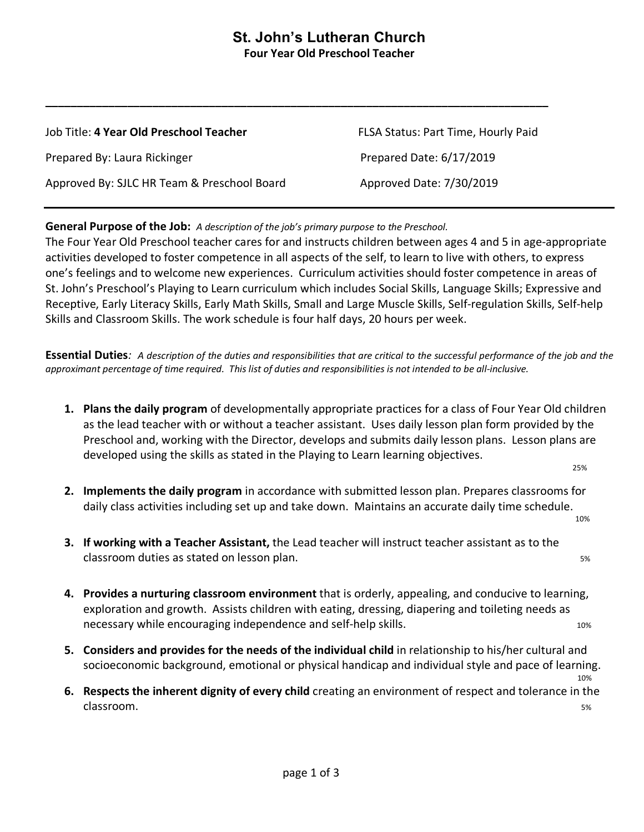## **St. John's Lutheran Church Four Year Old Preschool Teacher**

| Job Title: 4 Year Old Preschool Teacher     | FLSA Status: Part Time, Hourly Paid |
|---------------------------------------------|-------------------------------------|
| Prepared By: Laura Rickinger                | Prepared Date: 6/17/2019            |
| Approved By: SJLC HR Team & Preschool Board | Approved Date: 7/30/2019            |

**\_\_\_\_\_\_\_\_\_\_\_\_\_\_\_\_\_\_\_\_\_\_\_\_\_\_\_\_\_\_\_\_\_\_\_\_\_\_\_\_\_\_\_\_\_\_\_\_\_\_\_\_\_\_\_\_\_\_\_\_\_\_\_\_\_\_\_\_\_\_\_\_\_\_\_\_\_\_\_\_**

### **General Purpose of the Job:** *A description of the job's primary purpose to the Preschool.*

The Four Year Old Preschool teacher cares for and instructs children between ages 4 and 5 in age-appropriate activities developed to foster competence in all aspects of the self, to learn to live with others, to express one's feelings and to welcome new experiences. Curriculum activities should foster competence in areas of St. John's Preschool's Playing to Learn curriculum which includes Social Skills, Language Skills; Expressive and Receptive, Early Literacy Skills, Early Math Skills, Small and Large Muscle Skills, Self-regulation Skills, Self-help Skills and Classroom Skills. The work schedule is four half days, 20 hours per week.

**Essential Duties***: A description of the duties and responsibilities that are critical to the successful performance of the job and the approximant percentage of time required. This list of duties and responsibilities is not intended to be all-inclusive.* 

**1. Plans the daily program** of developmentally appropriate practices for a class of Four Year Old children as the lead teacher with or without a teacher assistant. Uses daily lesson plan form provided by the Preschool and, working with the Director, develops and submits daily lesson plans. Lesson plans are developed using the skills as stated in the Playing to Learn learning objectives.<br><sup>25%</sup>

**2. Implements the daily program** in accordance with submitted lesson plan. Prepares classrooms for daily class activities including set up and take down. Maintains an accurate daily time schedule.

10%

- **3. If working with a Teacher Assistant,** the Lead teacher will instruct teacher assistant as to the classroom duties as stated on lesson plan. The state of the state of the state of the state of the state of the state of the state of the state of the state of the state of the state of the state of the state of the state
- **4. Provides a nurturing classroom environment** that is orderly, appealing, and conducive to learning, exploration and growth. Assists children with eating, dressing, diapering and toileting needs as necessary while encouraging independence and self-help skills. The matrix of the state of the state of the sta
- **5. Considers and provides for the needs of the individual child** in relationship to his/her cultural and socioeconomic background, emotional or physical handicap and individual style and pace of learning.<br><sup>10%</sup>
- **6. Respects the inherent dignity of every child** creating an environment of respect and tolerance in the classroom. 5%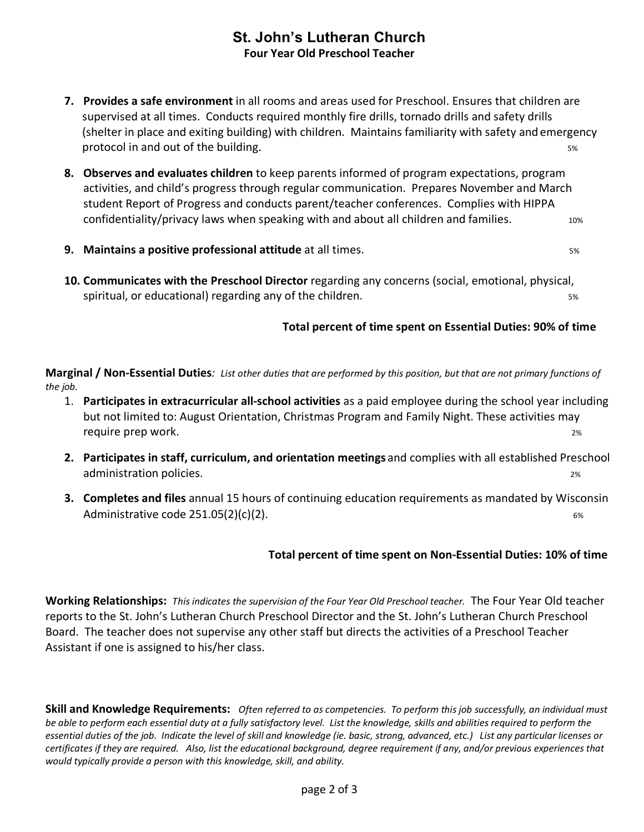# **St. John's Lutheran Church Four Year Old Preschool Teacher**

- **7. Provides a safe environment** in all rooms and areas used for Preschool. Ensures that children are supervised at all times. Conducts required monthly fire drills, tornado drills and safety drills (shelter in place and exiting building) with children. Maintains familiarity with safety and emergency protocol in and out of the building. The same state of the building state of the state of the state of the state of the state of the state of the state of the state of the state of the state of the state of the state of th
- **8. Observes and evaluates children** to keep parents informed of program expectations, program activities, and child's progress through regular communication. Prepares November and March student Report of Progress and conducts parent/teacher conferences. Complies with HIPPA confidentiality/privacy laws when speaking with and about all children and families.  $10\%$
- **9. Maintains a positive professional attitude** at all times. The same same same some set of the set of the set o
- **10. Communicates with the Preschool Director** regarding any concerns (social, emotional, physical, spiritual, or educational) regarding any of the children. The state of the state state of the state state of s

## **Total percent of time spent on Essential Duties: 90% of time**

**Marginal / Non-Essential Duties***: List other duties that are performed by this position, but that are not primary functions of the job.*

- 1. **Participates in extracurricular all-school activities** as a paid employee during the school year including but not limited to: August Orientation, Christmas Program and Family Night. These activities may require prep work. 2%
- **2. Participates in staff, curriculum, and orientation meetings** and complies with all established Preschool administration policies. 2%
- **3. Completes and files** annual 15 hours of continuing education requirements as mandated by Wisconsin Administrative code  $251.05(2)(c)(2)$ .

### **Total percent of time spent on Non-Essential Duties: 10% of time**

**Working Relationships:** *This indicates the supervision of the Four Year Old Preschool teacher.* The Four Year Old teacher reports to the St. John's Lutheran Church Preschool Director and the St. John's Lutheran Church Preschool Board. The teacher does not supervise any other staff but directs the activities of a Preschool Teacher Assistant if one is assigned to his/her class.

**Skill and Knowledge Requirements:** *Often referred to as competencies. To perform this job successfully, an individual must be able to perform each essential duty at a fully satisfactory level. List the knowledge, skills and abilities required to perform the essential duties of the job. Indicate the level of skill and knowledge (ie. basic, strong, advanced, etc.) List any particular licenses or certificates if they are required. Also, list the educational background, degree requirement if any, and/or previous experiences that would typically provide a person with this knowledge, skill, and ability.*